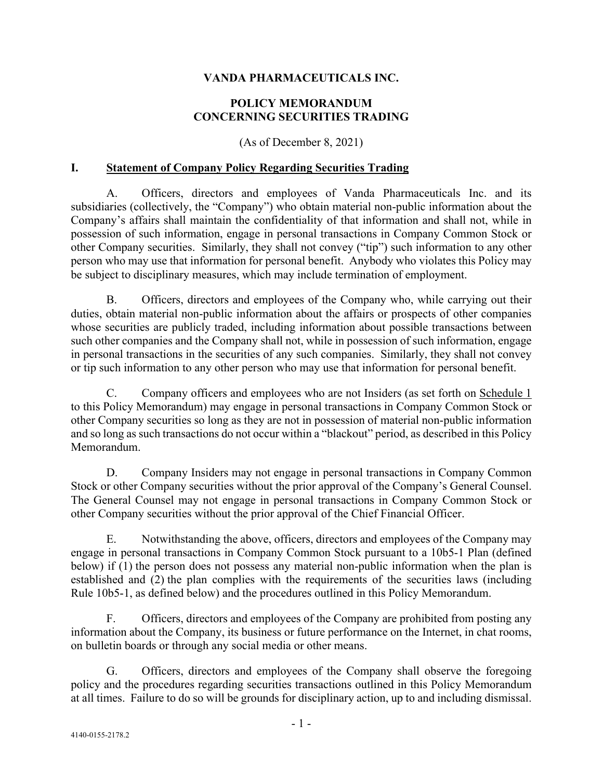## **VANDA PHARMACEUTICALS INC.**

# **POLICY MEMORANDUM CONCERNING SECURITIES TRADING**

(As of December 8, 2021)

## **I. Statement of Company Policy Regarding Securities Trading**

A. Officers, directors and employees of Vanda Pharmaceuticals Inc. and its subsidiaries (collectively, the "Company") who obtain material non-public information about the Company's affairs shall maintain the confidentiality of that information and shall not, while in possession of such information, engage in personal transactions in Company Common Stock or other Company securities. Similarly, they shall not convey ("tip") such information to any other person who may use that information for personal benefit. Anybody who violates this Policy may be subject to disciplinary measures, which may include termination of employment.

B. Officers, directors and employees of the Company who, while carrying out their duties, obtain material non-public information about the affairs or prospects of other companies whose securities are publicly traded, including information about possible transactions between such other companies and the Company shall not, while in possession of such information, engage in personal transactions in the securities of any such companies. Similarly, they shall not convey or tip such information to any other person who may use that information for personal benefit.

C. Company officers and employees who are not Insiders (as set forth on Schedule 1 to this Policy Memorandum) may engage in personal transactions in Company Common Stock or other Company securities so long as they are not in possession of material non-public information and so long as such transactions do not occur within a "blackout" period, as described in this Policy Memorandum.

D. Company Insiders may not engage in personal transactions in Company Common Stock or other Company securities without the prior approval of the Company's General Counsel. The General Counsel may not engage in personal transactions in Company Common Stock or other Company securities without the prior approval of the Chief Financial Officer.

E. Notwithstanding the above, officers, directors and employees of the Company may engage in personal transactions in Company Common Stock pursuant to a 10b5-1 Plan (defined below) if (1) the person does not possess any material non-public information when the plan is established and (2) the plan complies with the requirements of the securities laws (including Rule 10b5-1, as defined below) and the procedures outlined in this Policy Memorandum.

F. Officers, directors and employees of the Company are prohibited from posting any information about the Company, its business or future performance on the Internet, in chat rooms, on bulletin boards or through any social media or other means.

G. Officers, directors and employees of the Company shall observe the foregoing policy and the procedures regarding securities transactions outlined in this Policy Memorandum at all times. Failure to do so will be grounds for disciplinary action, up to and including dismissal.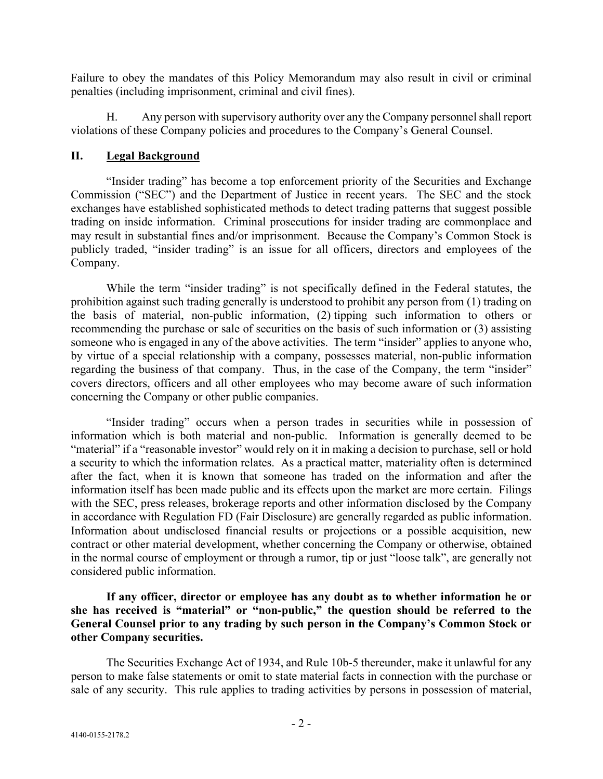Failure to obey the mandates of this Policy Memorandum may also result in civil or criminal penalties (including imprisonment, criminal and civil fines).

H. Any person with supervisory authority over any the Company personnel shall report violations of these Company policies and procedures to the Company's General Counsel.

## **II. Legal Background**

"Insider trading" has become a top enforcement priority of the Securities and Exchange Commission ("SEC") and the Department of Justice in recent years. The SEC and the stock exchanges have established sophisticated methods to detect trading patterns that suggest possible trading on inside information. Criminal prosecutions for insider trading are commonplace and may result in substantial fines and/or imprisonment. Because the Company's Common Stock is publicly traded, "insider trading" is an issue for all officers, directors and employees of the Company.

While the term "insider trading" is not specifically defined in the Federal statutes, the prohibition against such trading generally is understood to prohibit any person from (1) trading on the basis of material, non-public information, (2) tipping such information to others or recommending the purchase or sale of securities on the basis of such information or (3) assisting someone who is engaged in any of the above activities. The term "insider" applies to anyone who, by virtue of a special relationship with a company, possesses material, non-public information regarding the business of that company. Thus, in the case of the Company, the term "insider" covers directors, officers and all other employees who may become aware of such information concerning the Company or other public companies.

"Insider trading" occurs when a person trades in securities while in possession of information which is both material and non-public. Information is generally deemed to be "material" if a "reasonable investor" would rely on it in making a decision to purchase, sell or hold a security to which the information relates. As a practical matter, materiality often is determined after the fact, when it is known that someone has traded on the information and after the information itself has been made public and its effects upon the market are more certain. Filings with the SEC, press releases, brokerage reports and other information disclosed by the Company in accordance with Regulation FD (Fair Disclosure) are generally regarded as public information. Information about undisclosed financial results or projections or a possible acquisition, new contract or other material development, whether concerning the Company or otherwise, obtained in the normal course of employment or through a rumor, tip or just "loose talk", are generally not considered public information.

**If any officer, director or employee has any doubt as to whether information he or she has received is "material" or "non-public," the question should be referred to the General Counsel prior to any trading by such person in the Company's Common Stock or other Company securities.**

The Securities Exchange Act of 1934, and Rule 10b-5 thereunder, make it unlawful for any person to make false statements or omit to state material facts in connection with the purchase or sale of any security. This rule applies to trading activities by persons in possession of material,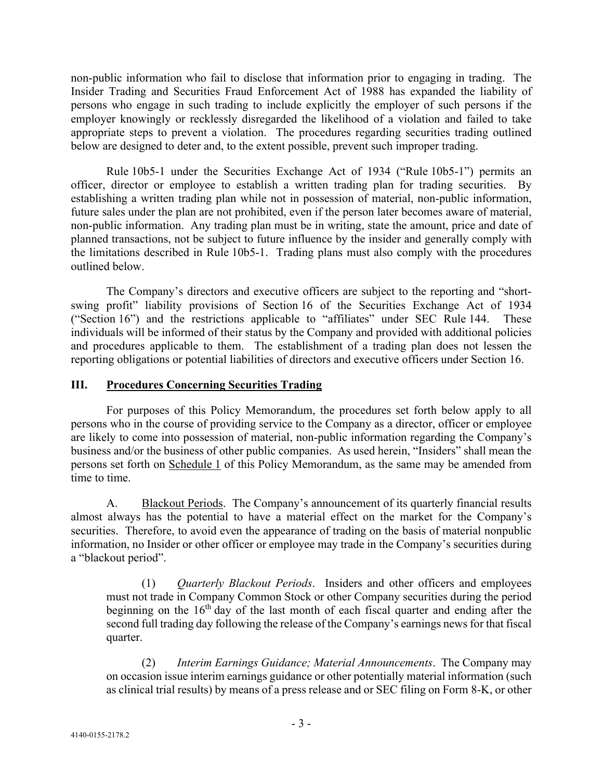non-public information who fail to disclose that information prior to engaging in trading. The Insider Trading and Securities Fraud Enforcement Act of 1988 has expanded the liability of persons who engage in such trading to include explicitly the employer of such persons if the employer knowingly or recklessly disregarded the likelihood of a violation and failed to take appropriate steps to prevent a violation. The procedures regarding securities trading outlined below are designed to deter and, to the extent possible, prevent such improper trading.

Rule 10b5-1 under the Securities Exchange Act of 1934 ("Rule 10b5-1") permits an officer, director or employee to establish a written trading plan for trading securities. By establishing a written trading plan while not in possession of material, non-public information, future sales under the plan are not prohibited, even if the person later becomes aware of material, non-public information. Any trading plan must be in writing, state the amount, price and date of planned transactions, not be subject to future influence by the insider and generally comply with the limitations described in Rule 10b5-1. Trading plans must also comply with the procedures outlined below.

The Company's directors and executive officers are subject to the reporting and "shortswing profit" liability provisions of Section 16 of the Securities Exchange Act of 1934 ("Section 16") and the restrictions applicable to "affiliates" under SEC Rule 144. These individuals will be informed of their status by the Company and provided with additional policies and procedures applicable to them. The establishment of a trading plan does not lessen the reporting obligations or potential liabilities of directors and executive officers under Section 16.

## **III. Procedures Concerning Securities Trading**

For purposes of this Policy Memorandum, the procedures set forth below apply to all persons who in the course of providing service to the Company as a director, officer or employee are likely to come into possession of material, non-public information regarding the Company's business and/or the business of other public companies. As used herein, "Insiders" shall mean the persons set forth on Schedule 1 of this Policy Memorandum, as the same may be amended from time to time.

A. Blackout Periods. The Company's announcement of its quarterly financial results almost always has the potential to have a material effect on the market for the Company's securities. Therefore, to avoid even the appearance of trading on the basis of material nonpublic information, no Insider or other officer or employee may trade in the Company's securities during a "blackout period".

(1) *Quarterly Blackout Periods*. Insiders and other officers and employees must not trade in Company Common Stock or other Company securities during the period beginning on the  $16<sup>th</sup>$  day of the last month of each fiscal quarter and ending after the second full trading day following the release of the Company's earnings news for that fiscal quarter.

(2) *Interim Earnings Guidance; Material Announcements*. The Company may on occasion issue interim earnings guidance or other potentially material information (such as clinical trial results) by means of a press release and or SEC filing on Form 8-K, or other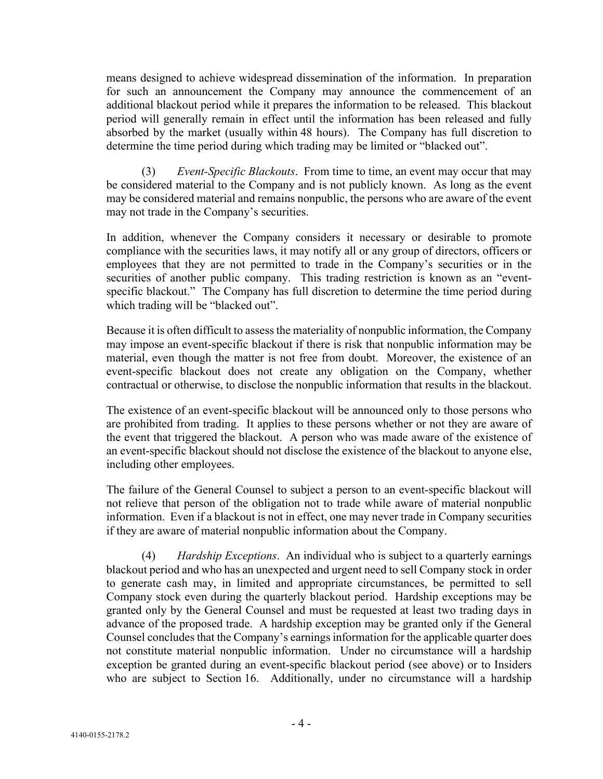means designed to achieve widespread dissemination of the information. In preparation for such an announcement the Company may announce the commencement of an additional blackout period while it prepares the information to be released. This blackout period will generally remain in effect until the information has been released and fully absorbed by the market (usually within 48 hours). The Company has full discretion to determine the time period during which trading may be limited or "blacked out".

(3) *Event-Specific Blackouts*. From time to time, an event may occur that may be considered material to the Company and is not publicly known. As long as the event may be considered material and remains nonpublic, the persons who are aware of the event may not trade in the Company's securities.

In addition, whenever the Company considers it necessary or desirable to promote compliance with the securities laws, it may notify all or any group of directors, officers or employees that they are not permitted to trade in the Company's securities or in the securities of another public company. This trading restriction is known as an "eventspecific blackout." The Company has full discretion to determine the time period during which trading will be "blacked out".

Because it is often difficult to assess the materiality of nonpublic information, the Company may impose an event-specific blackout if there is risk that nonpublic information may be material, even though the matter is not free from doubt. Moreover, the existence of an event-specific blackout does not create any obligation on the Company, whether contractual or otherwise, to disclose the nonpublic information that results in the blackout.

The existence of an event-specific blackout will be announced only to those persons who are prohibited from trading. It applies to these persons whether or not they are aware of the event that triggered the blackout. A person who was made aware of the existence of an event-specific blackout should not disclose the existence of the blackout to anyone else, including other employees.

The failure of the General Counsel to subject a person to an event-specific blackout will not relieve that person of the obligation not to trade while aware of material nonpublic information. Even if a blackout is not in effect, one may never trade in Company securities if they are aware of material nonpublic information about the Company.

(4) *Hardship Exceptions*. An individual who is subject to a quarterly earnings blackout period and who has an unexpected and urgent need to sell Company stock in order to generate cash may, in limited and appropriate circumstances, be permitted to sell Company stock even during the quarterly blackout period. Hardship exceptions may be granted only by the General Counsel and must be requested at least two trading days in advance of the proposed trade. A hardship exception may be granted only if the General Counsel concludes that the Company's earnings information for the applicable quarter does not constitute material nonpublic information. Under no circumstance will a hardship exception be granted during an event-specific blackout period (see above) or to Insiders who are subject to Section 16. Additionally, under no circumstance will a hardship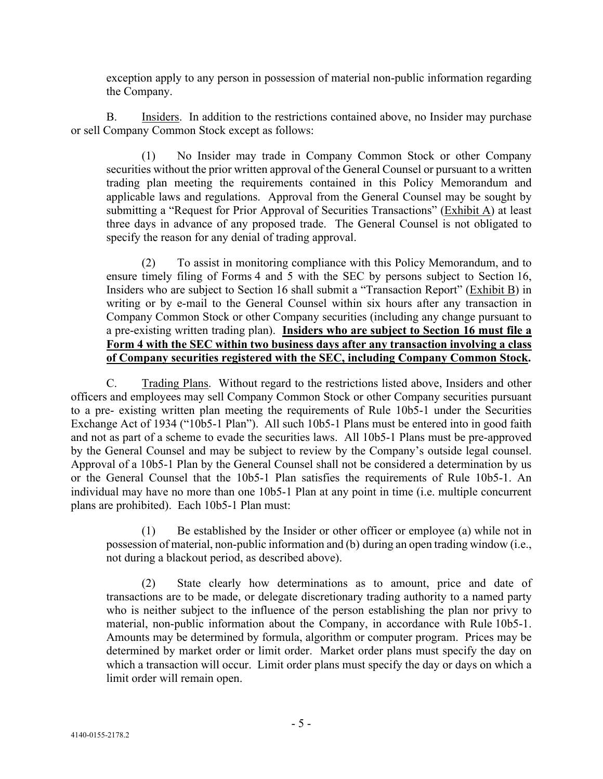exception apply to any person in possession of material non-public information regarding the Company.

B. Insiders. In addition to the restrictions contained above, no Insider may purchase or sell Company Common Stock except as follows:

(1) No Insider may trade in Company Common Stock or other Company securities without the prior written approval of the General Counsel or pursuant to a written trading plan meeting the requirements contained in this Policy Memorandum and applicable laws and regulations. Approval from the General Counsel may be sought by submitting a "Request for Prior Approval of Securities Transactions" (Exhibit A) at least three days in advance of any proposed trade. The General Counsel is not obligated to specify the reason for any denial of trading approval.

(2) To assist in monitoring compliance with this Policy Memorandum, and to ensure timely filing of Forms 4 and 5 with the SEC by persons subject to Section 16, Insiders who are subject to Section 16 shall submit a "Transaction Report" (Exhibit B) in writing or by e-mail to the General Counsel within six hours after any transaction in Company Common Stock or other Company securities (including any change pursuant to a pre-existing written trading plan). **Insiders who are subject to Section 16 must file a Form 4 with the SEC within two business days after any transaction involving a class of Company securities registered with the SEC, including Company Common Stock.**

C. Trading Plans. Without regard to the restrictions listed above, Insiders and other officers and employees may sell Company Common Stock or other Company securities pursuant to a pre- existing written plan meeting the requirements of Rule 10b5-1 under the Securities Exchange Act of 1934 ("10b5-1 Plan"). All such 10b5-1 Plans must be entered into in good faith and not as part of a scheme to evade the securities laws. All 10b5-1 Plans must be pre-approved by the General Counsel and may be subject to review by the Company's outside legal counsel. Approval of a 10b5-1 Plan by the General Counsel shall not be considered a determination by us or the General Counsel that the 10b5-1 Plan satisfies the requirements of Rule 10b5-1. An individual may have no more than one 10b5-1 Plan at any point in time (i.e. multiple concurrent plans are prohibited). Each 10b5-1 Plan must:

(1) Be established by the Insider or other officer or employee (a) while not in possession of material, non-public information and (b) during an open trading window (i.e., not during a blackout period, as described above).

(2) State clearly how determinations as to amount, price and date of transactions are to be made, or delegate discretionary trading authority to a named party who is neither subject to the influence of the person establishing the plan nor privy to material, non-public information about the Company, in accordance with Rule 10b5-1. Amounts may be determined by formula, algorithm or computer program. Prices may be determined by market order or limit order. Market order plans must specify the day on which a transaction will occur. Limit order plans must specify the day or days on which a limit order will remain open.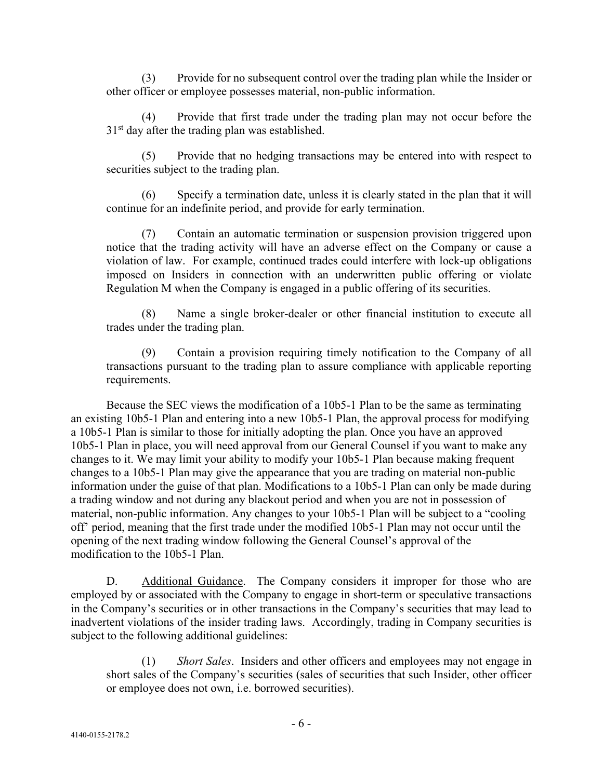(3) Provide for no subsequent control over the trading plan while the Insider or other officer or employee possesses material, non-public information.

(4) Provide that first trade under the trading plan may not occur before the  $31<sup>st</sup>$  day after the trading plan was established.

(5) Provide that no hedging transactions may be entered into with respect to securities subject to the trading plan.

(6) Specify a termination date, unless it is clearly stated in the plan that it will continue for an indefinite period, and provide for early termination.

(7) Contain an automatic termination or suspension provision triggered upon notice that the trading activity will have an adverse effect on the Company or cause a violation of law. For example, continued trades could interfere with lock-up obligations imposed on Insiders in connection with an underwritten public offering or violate Regulation M when the Company is engaged in a public offering of its securities.

(8) Name a single broker-dealer or other financial institution to execute all trades under the trading plan.

(9) Contain a provision requiring timely notification to the Company of all transactions pursuant to the trading plan to assure compliance with applicable reporting requirements.

Because the SEC views the modification of a 10b5-1 Plan to be the same as terminating an existing 10b5-1 Plan and entering into a new 10b5-1 Plan, the approval process for modifying a 10b5-1 Plan is similar to those for initially adopting the plan. Once you have an approved 10b5-1 Plan in place, you will need approval from our General Counsel if you want to make any changes to it. We may limit your ability to modify your 10b5-1 Plan because making frequent changes to a 10b5-1 Plan may give the appearance that you are trading on material non-public information under the guise of that plan. Modifications to a 10b5-1 Plan can only be made during a trading window and not during any blackout period and when you are not in possession of material, non-public information. Any changes to your 10b5-1 Plan will be subject to a "cooling off' period, meaning that the first trade under the modified 10b5-1 Plan may not occur until the opening of the next trading window following the General Counsel's approval of the modification to the 10b5-1 Plan.

D. Additional Guidance. The Company considers it improper for those who are employed by or associated with the Company to engage in short-term or speculative transactions in the Company's securities or in other transactions in the Company's securities that may lead to inadvertent violations of the insider trading laws. Accordingly, trading in Company securities is subject to the following additional guidelines:

(1) *Short Sales*. Insiders and other officers and employees may not engage in short sales of the Company's securities (sales of securities that such Insider, other officer or employee does not own, i.e. borrowed securities).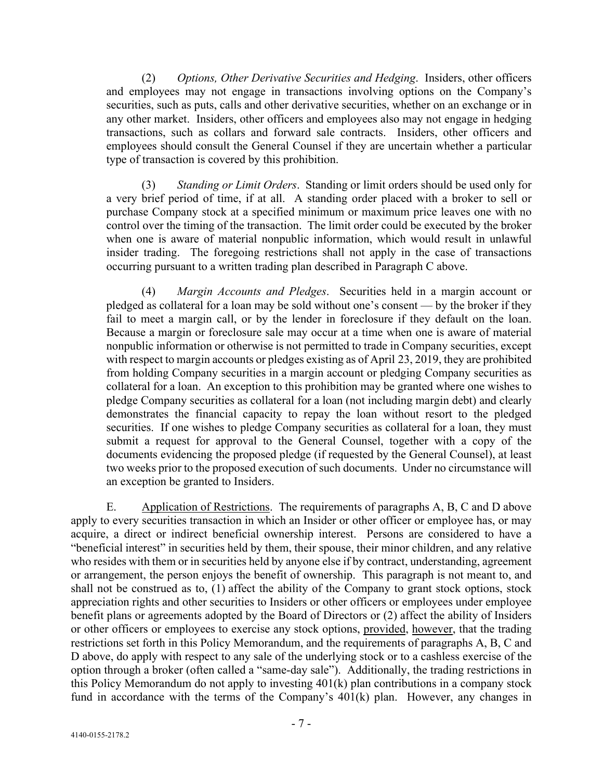(2) *Options, Other Derivative Securities and Hedging*. Insiders, other officers and employees may not engage in transactions involving options on the Company's securities, such as puts, calls and other derivative securities, whether on an exchange or in any other market. Insiders, other officers and employees also may not engage in hedging transactions, such as collars and forward sale contracts. Insiders, other officers and employees should consult the General Counsel if they are uncertain whether a particular type of transaction is covered by this prohibition.

(3) *Standing or Limit Orders*. Standing or limit orders should be used only for a very brief period of time, if at all. A standing order placed with a broker to sell or purchase Company stock at a specified minimum or maximum price leaves one with no control over the timing of the transaction. The limit order could be executed by the broker when one is aware of material nonpublic information, which would result in unlawful insider trading. The foregoing restrictions shall not apply in the case of transactions occurring pursuant to a written trading plan described in Paragraph C above.

(4) *Margin Accounts and Pledges*. Securities held in a margin account or pledged as collateral for a loan may be sold without one's consent — by the broker if they fail to meet a margin call, or by the lender in foreclosure if they default on the loan. Because a margin or foreclosure sale may occur at a time when one is aware of material nonpublic information or otherwise is not permitted to trade in Company securities, except with respect to margin accounts or pledges existing as of April 23, 2019, they are prohibited from holding Company securities in a margin account or pledging Company securities as collateral for a loan. An exception to this prohibition may be granted where one wishes to pledge Company securities as collateral for a loan (not including margin debt) and clearly demonstrates the financial capacity to repay the loan without resort to the pledged securities. If one wishes to pledge Company securities as collateral for a loan, they must submit a request for approval to the General Counsel, together with a copy of the documents evidencing the proposed pledge (if requested by the General Counsel), at least two weeks prior to the proposed execution of such documents. Under no circumstance will an exception be granted to Insiders.

E. Application of Restrictions. The requirements of paragraphs A, B, C and D above apply to every securities transaction in which an Insider or other officer or employee has, or may acquire, a direct or indirect beneficial ownership interest. Persons are considered to have a "beneficial interest" in securities held by them, their spouse, their minor children, and any relative who resides with them or in securities held by anyone else if by contract, understanding, agreement or arrangement, the person enjoys the benefit of ownership. This paragraph is not meant to, and shall not be construed as to, (1) affect the ability of the Company to grant stock options, stock appreciation rights and other securities to Insiders or other officers or employees under employee benefit plans or agreements adopted by the Board of Directors or (2) affect the ability of Insiders or other officers or employees to exercise any stock options, provided, however, that the trading restrictions set forth in this Policy Memorandum, and the requirements of paragraphs A, B, C and D above, do apply with respect to any sale of the underlying stock or to a cashless exercise of the option through a broker (often called a "same-day sale"). Additionally, the trading restrictions in this Policy Memorandum do not apply to investing 401(k) plan contributions in a company stock fund in accordance with the terms of the Company's 401(k) plan. However, any changes in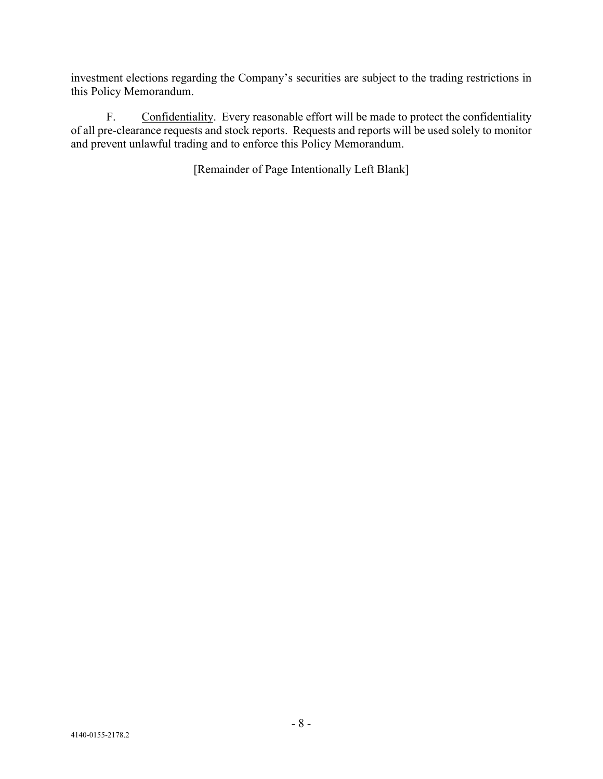investment elections regarding the Company's securities are subject to the trading restrictions in this Policy Memorandum.

F. Confidentiality. Every reasonable effort will be made to protect the confidentiality of all pre-clearance requests and stock reports. Requests and reports will be used solely to monitor and prevent unlawful trading and to enforce this Policy Memorandum.

[Remainder of Page Intentionally Left Blank]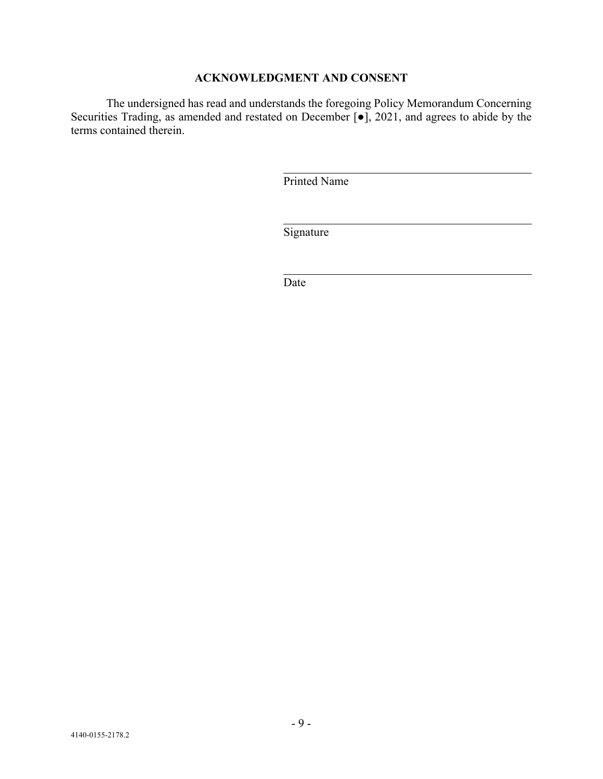# **ACKNOWLEDGMENT AND CONSENT**

The undersigned has read and understands the foregoing Policy Memorandum Concerning Securities Trading, as amended and restated on December [●], 2021, and agrees to abide by the terms contained therein.

Printed Name

Signature

Date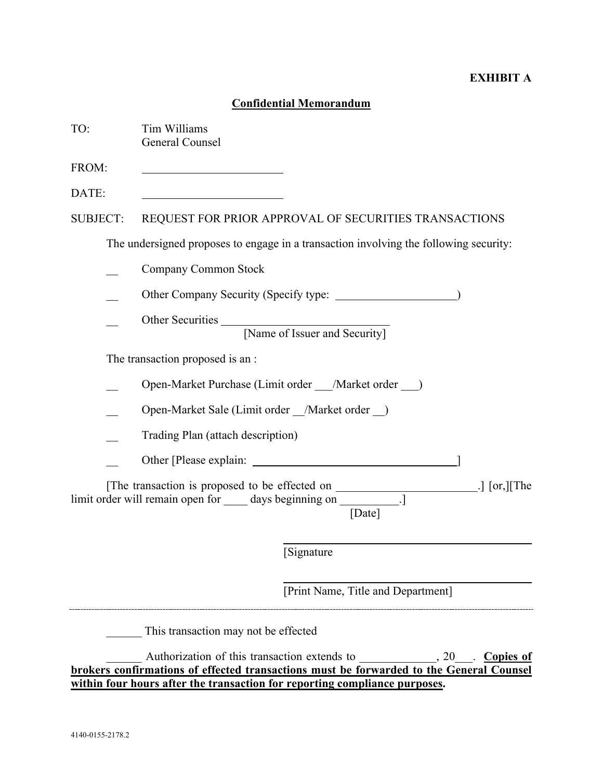# **EXHIBIT A**

# **Confidential Memorandum**

| TO:             | Tim Williams<br>General Counsel                                                                                                                                                                                                                       |  |  |
|-----------------|-------------------------------------------------------------------------------------------------------------------------------------------------------------------------------------------------------------------------------------------------------|--|--|
| FROM:           |                                                                                                                                                                                                                                                       |  |  |
| DATE:           |                                                                                                                                                                                                                                                       |  |  |
| <b>SUBJECT:</b> | REQUEST FOR PRIOR APPROVAL OF SECURITIES TRANSACTIONS                                                                                                                                                                                                 |  |  |
|                 | The undersigned proposes to engage in a transaction involving the following security:                                                                                                                                                                 |  |  |
|                 | <b>Company Common Stock</b>                                                                                                                                                                                                                           |  |  |
|                 |                                                                                                                                                                                                                                                       |  |  |
|                 | Other Securities [Name of Issuer and Security]                                                                                                                                                                                                        |  |  |
|                 | The transaction proposed is an:                                                                                                                                                                                                                       |  |  |
|                 | Open-Market Purchase (Limit order /Market order )                                                                                                                                                                                                     |  |  |
|                 | Open-Market Sale (Limit order _/Market order _)                                                                                                                                                                                                       |  |  |
|                 | Trading Plan (attach description)                                                                                                                                                                                                                     |  |  |
|                 |                                                                                                                                                                                                                                                       |  |  |
|                 | limit order will remain open for _____ days beginning on __________<br>[Date]                                                                                                                                                                         |  |  |
|                 | Signature                                                                                                                                                                                                                                             |  |  |
|                 | [Print Name, Title and Department]                                                                                                                                                                                                                    |  |  |
|                 | This transaction may not be effected                                                                                                                                                                                                                  |  |  |
|                 | Authorization of this transaction extends to<br>$, 20$ .<br><b>Copies of</b><br>brokers confirmations of effected transactions must be forwarded to the General Counsel<br>within four hours after the transaction for reporting compliance purposes. |  |  |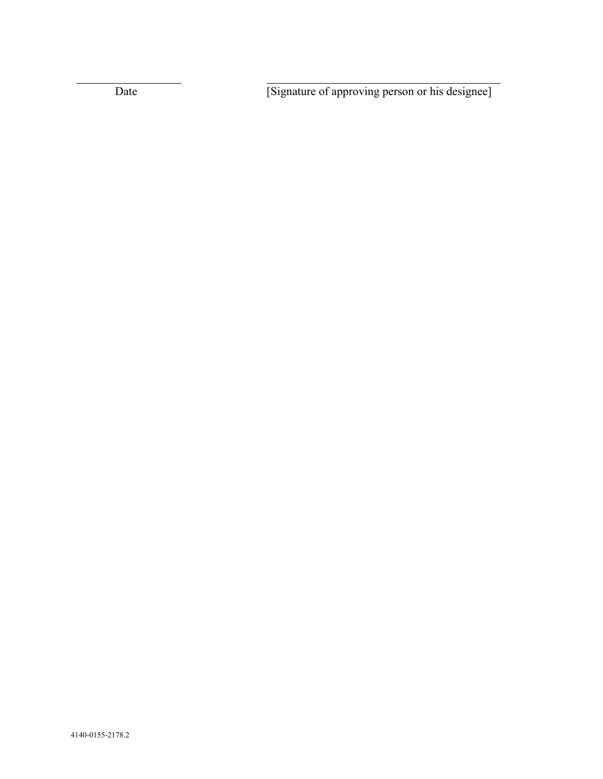Date **[Signature of approving person or his designee]**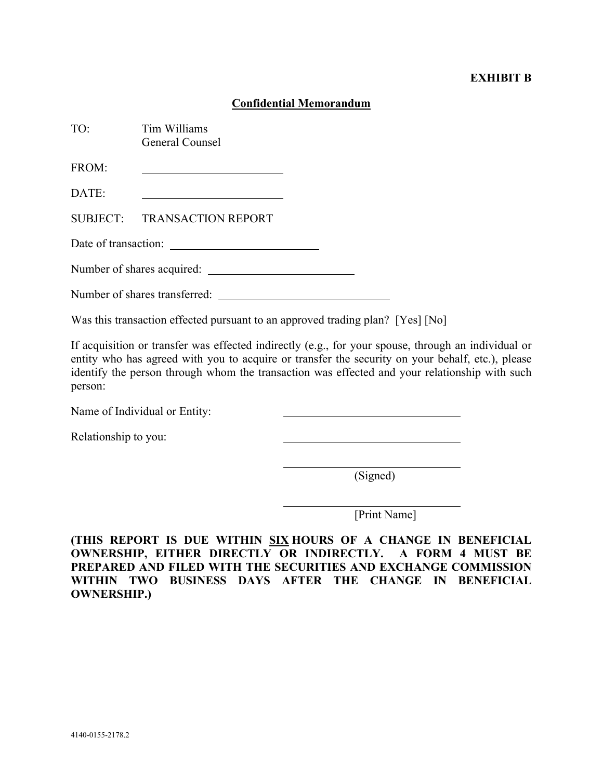#### **EXHIBIT B**

#### **Confidential Memorandum**

| TO:                           | Tim Williams<br>General Counsel |  |  |
|-------------------------------|---------------------------------|--|--|
| FROM:                         |                                 |  |  |
| DATE:                         |                                 |  |  |
|                               | SUBJECT: TRANSACTION REPORT     |  |  |
|                               |                                 |  |  |
|                               |                                 |  |  |
| Number of shares transferred: |                                 |  |  |

Was this transaction effected pursuant to an approved trading plan? [Yes] [No]

If acquisition or transfer was effected indirectly (e.g., for your spouse, through an individual or entity who has agreed with you to acquire or transfer the security on your behalf, etc.), please identify the person through whom the transaction was effected and your relationship with such person:

Name of Individual or Entity:

Relationship to you:

(Signed)

[Print Name]

**(THIS REPORT IS DUE WITHIN SIX HOURS OF A CHANGE IN BENEFICIAL OWNERSHIP, EITHER DIRECTLY OR INDIRECTLY. A FORM 4 MUST BE PREPARED AND FILED WITH THE SECURITIES AND EXCHANGE COMMISSION WITHIN TWO BUSINESS DAYS AFTER THE CHANGE IN BENEFICIAL OWNERSHIP.)**